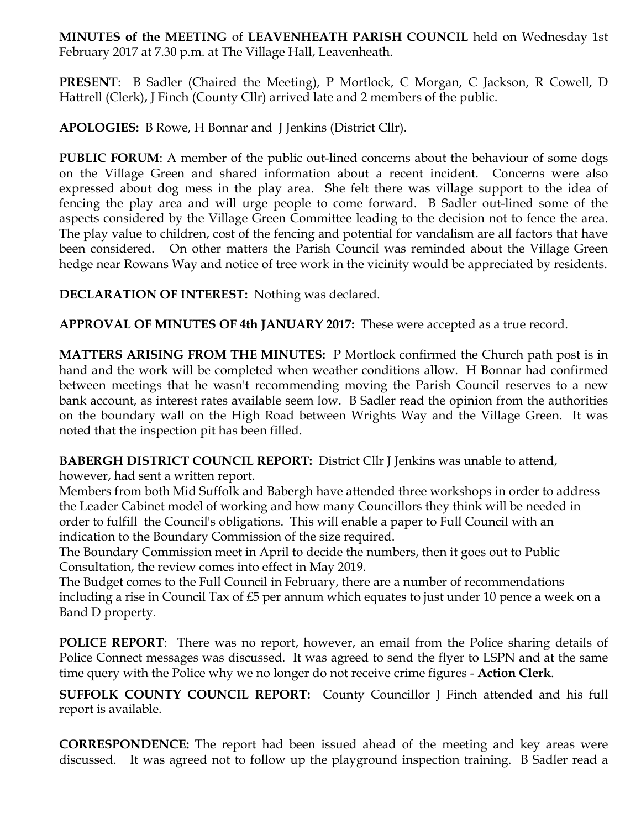**MINUTES of the MEETING** of **LEAVENHEATH PARISH COUNCIL** held on Wednesday 1st February 2017 at 7.30 p.m. at The Village Hall, Leavenheath.

**PRESENT**: B Sadler (Chaired the Meeting), P Mortlock, C Morgan, C Jackson, R Cowell, D Hattrell (Clerk), J Finch (County Cllr) arrived late and 2 members of the public.

**APOLOGIES:** B Rowe, H Bonnar and J Jenkins (District Cllr).

**PUBLIC FORUM:** A member of the public out-lined concerns about the behaviour of some dogs on the Village Green and shared information about a recent incident. Concerns were also expressed about dog mess in the play area. She felt there was village support to the idea of fencing the play area and will urge people to come forward. B Sadler out-lined some of the aspects considered by the Village Green Committee leading to the decision not to fence the area. The play value to children, cost of the fencing and potential for vandalism are all factors that have been considered. On other matters the Parish Council was reminded about the Village Green hedge near Rowans Way and notice of tree work in the vicinity would be appreciated by residents.

**DECLARATION OF INTEREST:** Nothing was declared.

**APPROVAL OF MINUTES OF 4th JANUARY 2017:** These were accepted as a true record.

**MATTERS ARISING FROM THE MINUTES:** P Mortlock confirmed the Church path post is in hand and the work will be completed when weather conditions allow. H Bonnar had confirmed between meetings that he wasn't recommending moving the Parish Council reserves to a new bank account, as interest rates available seem low. B Sadler read the opinion from the authorities on the boundary wall on the High Road between Wrights Way and the Village Green. It was noted that the inspection pit has been filled.

**BABERGH DISTRICT COUNCIL REPORT:** District Cllr J Jenkins was unable to attend,

however, had sent a written report.

Members from both Mid Suffolk and Babergh have attended three workshops in order to address the Leader Cabinet model of working and how many Councillors they think will be needed in order to fulfill the Council's obligations. This will enable a paper to Full Council with an indication to the Boundary Commission of the size required.

The Boundary Commission meet in April to decide the numbers, then it goes out to Public Consultation, the review comes into effect in May 2019.

The Budget comes to the Full Council in February, there are a number of recommendations including a rise in Council Tax of £5 per annum which equates to just under 10 pence a week on a Band D property.

**POLICE REPORT**: There was no report, however, an email from the Police sharing details of Police Connect messages was discussed. It was agreed to send the flyer to LSPN and at the same time query with the Police why we no longer do not receive crime figures - **Action Clerk**.

**SUFFOLK COUNTY COUNCIL REPORT:** County Councillor J Finch attended and his full report is available.

**CORRESPONDENCE:** The report had been issued ahead of the meeting and key areas were discussed. It was agreed not to follow up the playground inspection training. B Sadler read a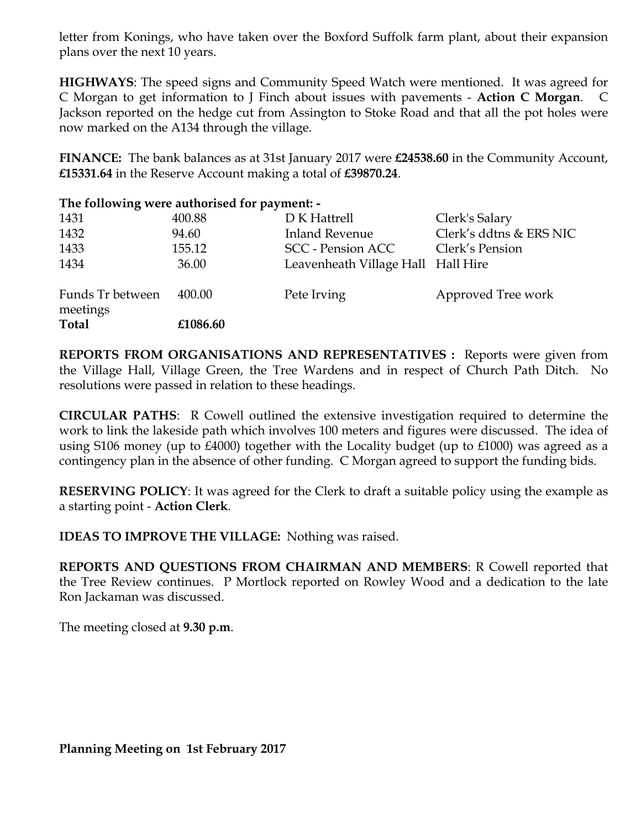letter from Konings, who have taken over the Boxford Suffolk farm plant, about their expansion plans over the next 10 years.

**HIGHWAYS**: The speed signs and Community Speed Watch were mentioned. It was agreed for C Morgan to get information to J Finch about issues with pavements - **Action C Morgan**. C Jackson reported on the hedge cut from Assington to Stoke Road and that all the pot holes were now marked on the A134 through the village.

**FINANCE:** The bank balances as at 31st January 2017 were **£24538.60** in the Community Account, **£15331.64** in the Reserve Account making a total of **£39870.24**.

| The following were authorised for payment: - |          |                                    |                         |
|----------------------------------------------|----------|------------------------------------|-------------------------|
| 1431                                         | 400.88   | D K Hattrell                       | Clerk's Salary          |
| 1432                                         | 94.60    | <b>Inland Revenue</b>              | Clerk's ddtns & ERS NIC |
| 1433                                         | 155.12   | <b>SCC</b> - Pension ACC           | Clerk's Pension         |
| 1434                                         | 36.00    | Leavenheath Village Hall Hall Hire |                         |
| Funds Tr between<br>meetings                 | 400.00   | Pete Irving                        | Approved Tree work      |
| <b>Total</b>                                 | £1086.60 |                                    |                         |

**REPORTS FROM ORGANISATIONS AND REPRESENTATIVES :** Reports were given from the Village Hall, Village Green, the Tree Wardens and in respect of Church Path Ditch. No resolutions were passed in relation to these headings.

**CIRCULAR PATHS**: R Cowell outlined the extensive investigation required to determine the work to link the lakeside path which involves 100 meters and figures were discussed. The idea of using S106 money (up to £4000) together with the Locality budget (up to £1000) was agreed as a contingency plan in the absence of other funding. C Morgan agreed to support the funding bids.

**RESERVING POLICY**: It was agreed for the Clerk to draft a suitable policy using the example as a starting point - **Action Clerk**.

**IDEAS TO IMPROVE THE VILLAGE:** Nothing was raised.

**REPORTS AND QUESTIONS FROM CHAIRMAN AND MEMBERS**: R Cowell reported that the Tree Review continues. P Mortlock reported on Rowley Wood and a dedication to the late Ron Jackaman was discussed.

The meeting closed at **9.30 p.m**.

**Planning Meeting on 1st February 2017**